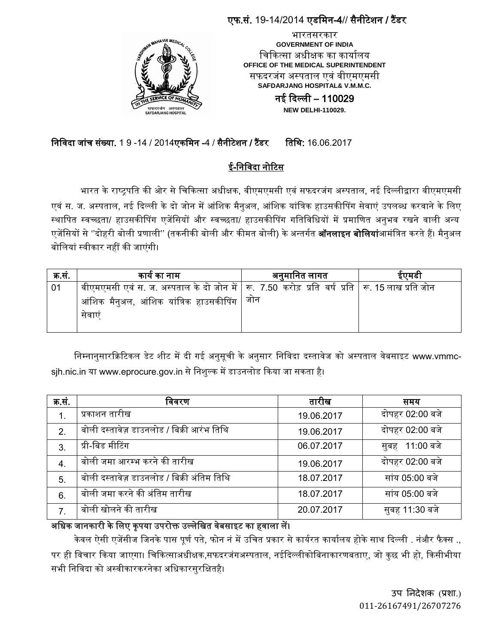### एफ.सं. 19-14/2014 एडममन-4// सैनीटेशन / टैंडर



भारतसरकार **GOVERNMENT OF INDIA** चिकित्सा अधीक्षक का कार्यालय **OFFICE OF THE MEDICAL SUPERINTENDENT** सफदरजंग अस्पताल एवं वीएमएमसी **SAFDARJANG HOSPITAL& V.M.M.C.**

> नई दिल्ली – 110029 **NEW DELHI-110029.**

# निविदा जांच संख्या. 1 9 -14 / 2014एकमिन -4 / सैनीटेशन / टैंडर तिथि: 16.06.2017

# ई-निविदा नोटिस

भारत के राष्ट्रपति की ओर से चिकित्सा अधीक्षक, वीएमएमसी एवं सफदरजंग अस्पताल, नई दिल्लीद्वारा वीएमएमसी एवं स. ज. अस्पताल, नई दिल्ली के दो जोन में आंशिक मैनुअल, आंशिक यांत्रिक हाउसकीपिंग सेवाएं उपलब्ध करवाने के लिए स्थापित स्वच्छता/ हाउसकीपिंग एजेंसियों और स्वच्छता/ हाउसकीपिंग गतिविधियों में प्रमाणित अनुभव रखने वाली अन्य एजेंसियों से ''दोहरी बोली प्रणाली'' (तकनीकी बोली और कीमत बोली) के अन्तर्गत **ऑनलाइन बोलियां**आमंत्रित करते हैं। मैनुअल बोलियां स्वीकार नहीं की जाएंगी।

| क.सं. | कार्य का नाम                                                                                                 | अनुमानित लागत | इएमडा |
|-------|--------------------------------------------------------------------------------------------------------------|---------------|-------|
| 01    | वीएमएमसी एवं स. ज. अस्पताल के दो जोन में $\mid$ रू.  7.50  करोड़  प्रति  वर्ष  प्रति  ॑ रू. 15 लाख प्रति जोन |               |       |
|       | आंशिक मैनुअल, आंशिक यांत्रिक हाउसकीपिंग                                                                      | जान           |       |
|       | सवाए                                                                                                         |               |       |

निम्नानुसारक्रिटिकल डेट शीट में दी गई अनुसूची के अनुसार निविदा दस्तावेज को अस्पताल वेबसाइट www.vmmcsjh.nic.in या www.eprocure.gov.in से निशुल्क में डाउनलोड किया जा सकता है।

| क्र.सं.          | विवरण                                      | तारीख      | समय             |
|------------------|--------------------------------------------|------------|-----------------|
| 1.               | प्रकाशन तारीख                              | 19.06.2017 | दोपहर 02:00 बजे |
| $\overline{2}$ . | बोली दस्तावेज़ डाउनलोड / बिक्री आरंभ तिथि  | 19.06.2017 | दोपहर 02:00 बजे |
| 3.               | प्री-बिड मीटिंग                            | 06.07.2017 | सुबह 11:00 बजे  |
| $\overline{4}$ . | बोली जमा आरम्भ करने की तारीख               | 19.06.2017 | दोपहर 02:00 बजे |
| 5.               | बोली दस्तावेज़ डाउनलोड / बिक्री अंतिम तिथि | 18.07.2017 | सांय 05:00 बजे  |
| 6.               | बोली जमा करने की अंतिम तारीख               | 18.07.2017 | सांय 05:00 बजे  |
|                  | बोली खोलने की तारीख                        | 20.07.2017 | सुबह 11:30 बजे  |

### अधिक जानकारी के लिए कृपया उपरोक्त उल्लेखित वेबसाइट का हवाला लें।

केवल ऐसी एजेंसीज जिनके पास पूर्ण पते, फोन नं में उचित प्रकार से कार्यरत कार्यालय होके साथ दिल्ली . नंऔर फैक्स ., पर ही विचार किया जाएगा। चिकित्साअधीक्षक,सफदरजंगअस्पताल, नईदिल्लीकोबिनाकारणबताए, जो कुछ भी हो, किसीभीया सभी निविदा को अस्वीकारकरनेका अधिकारसरक्षितहै।